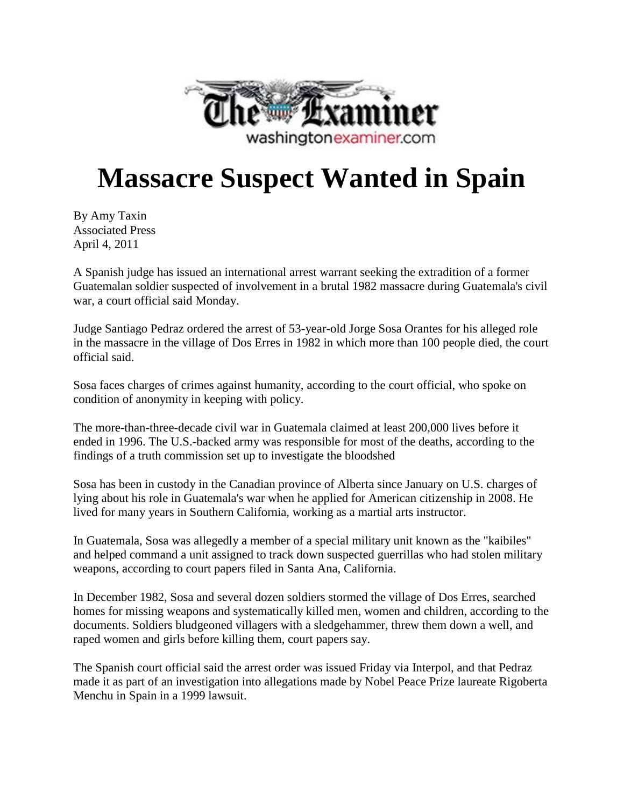

## **Massacre Suspect Wanted in Spain**

By Amy Taxin Associated Press April 4, 2011

A Spanish judge has issued an international arrest warrant seeking the extradition of a former Guatemalan soldier suspected of involvement in a brutal 1982 massacre during Guatemala's civil war, a court official said Monday.

Judge Santiago Pedraz ordered the arrest of 53-year-old Jorge Sosa Orantes for his alleged role in the massacre in the village of Dos Erres in 1982 in which more than 100 people died, the court official said.

Sosa faces charges of crimes against humanity, according to the court official, who spoke on condition of anonymity in keeping with policy.

The more-than-three-decade civil war in Guatemala claimed at least 200,000 lives before it ended in 1996. The U.S.-backed army was responsible for most of the deaths, according to the findings of a truth commission set up to investigate the bloodshed

Sosa has been in custody in the Canadian province of Alberta since January on U.S. charges of lying about his role in Guatemala's war when he applied for American citizenship in 2008. He lived for many years in Southern California, working as a martial arts instructor.

In Guatemala, Sosa was allegedly a member of a special military unit known as the "kaibiles" and helped command a unit assigned to track down suspected guerrillas who had stolen military weapons, according to court papers filed in Santa Ana, California.

In December 1982, Sosa and several dozen soldiers stormed the village of Dos Erres, searched homes for missing weapons and systematically killed men, women and children, according to the documents. Soldiers bludgeoned villagers with a sledgehammer, threw them down a well, and raped women and girls before killing them, court papers say.

The Spanish court official said the arrest order was issued Friday via Interpol, and that Pedraz made it as part of an investigation into allegations made by Nobel Peace Prize laureate Rigoberta Menchu in Spain in a 1999 lawsuit.